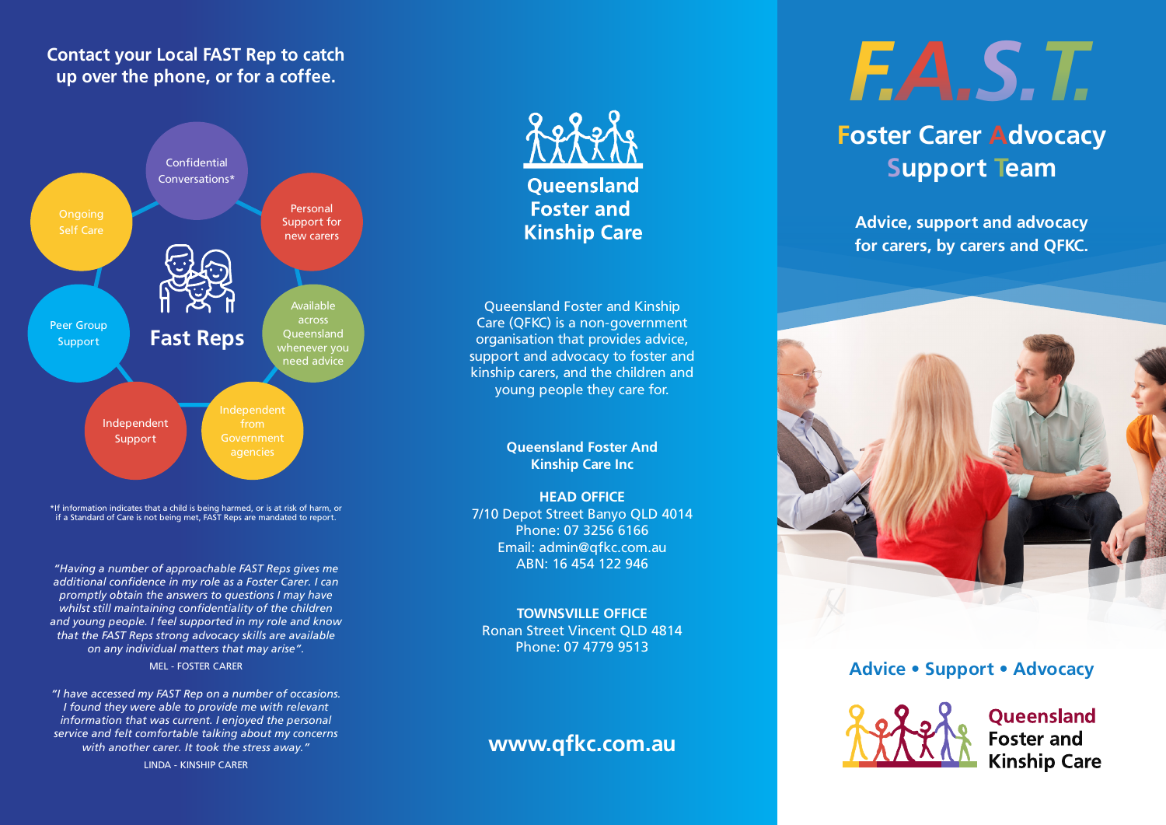#### **Contact your Local FAST Rep to catch up over the phone, or for a coffee.**



\*If information indicates that a child is being harmed, or is at risk of harm, or if a Standard of Care is not being met, FAST Reps are mandated to report.

*"Having a number of approachable FAST Reps gives me additional confidence in my role as a Foster Carer. I can promptly obtain the answers to questions I may have whilst still maintaining confidentiality of the children and young people. I feel supported in my role and know that the FAST Reps strong advocacy skills are available on any individual matters that may arise".*

MEL - FOSTER CARER

*"I have accessed my FAST Rep on a number of occasions. I found they were able to provide me with relevant information that was current. I enjoyed the personal service and felt comfortable talking about my concerns with another carer. It took the stress away."*

LINDA - KINSHIP CARER



**Oueensland Foster and Kinship Care** 

Queensland Foster and Kinship Care (QFKC) is a non-government organisation that provides advice, support and advocacy to foster and kinship carers, and the children and young people they care for.

#### **Queensland Foster And Kinship Care Inc**

**HEAD OFFICE** 7/10 Depot Street Banyo QLD 4014 Phone: 07 3256 6166 Email: admin@qfkc.com.au ABN: 16 454 122 946

#### **TOWNSVILLE OFFICE** Ronan Street Vincent QLD 4814

Phone: 07 4779 9513

## **www.qfkc.com.au**

# *F.A.S.T.*

## **Foster Carer Advocacy Support Team**

**Advice, support and advocacy for carers, by carers and QFKC.**



#### **Advice • Support • Advocacy**



**Oueensland Foster and Kinship Care**